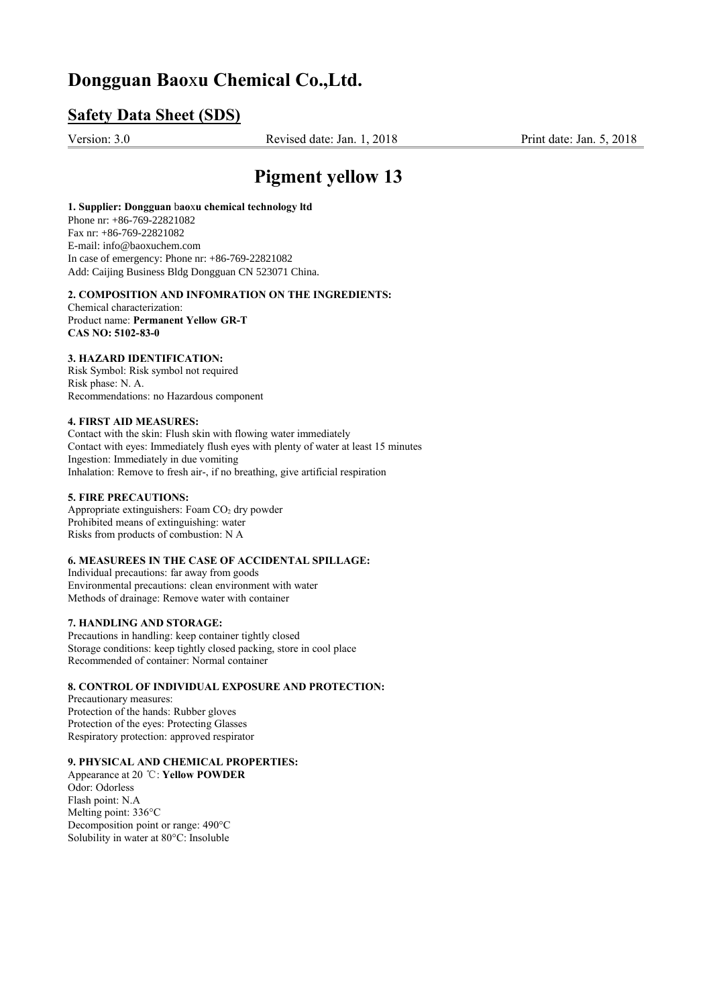## **Dongguan Bao**x**u Chemical Co.,Ltd.**

## **Safety Data Sheet (SDS)**

Version: 3.0Revised date: Jan. 1, 2018 Print date: Jan. 5, 2018

# **Pigment yellow 13**

**1. Supplier: Dongguan** b**ao**x**u chemical technology ltd** Phone nr: +86-769-22821082 Fax nr: +86-769-22821082 E-mail: info@baoxuchem.com In case of emergency: Phone nr: +86-769-22821082 Add: Caijing Business Bldg Dongguan CN 523071 China.

## **2. COMPOSITION AND INFOMRATION ON THE INGREDIENTS:**

Chemical characterization: Product name: **Permanent Yellow GR-T CAS NO: 5102-83-0**

## **3. HAZARD IDENTIFICATION:**

Risk Symbol: Risk symbol not required Risk phase: N. A. Recommendations: no Hazardous component

## **4. FIRST AID MEASURES:**

Contact with the skin: Flush skin with flowing water immediately Contact with eyes: Immediately flush eyes with plenty of water at least 15 minutes Ingestion: Immediately in due vomiting Inhalation: Remove to fresh air-, if no breathing, give artificial respiration

## **5. FIRE PRECAUTIONS:**

Appropriate extinguishers: Foam  $CO<sub>2</sub>$  dry powder Prohibited means of extinguishing: water Risks from products of combustion: N A

## **6. MEASUREES IN THE CASE OF ACCIDENTAL SPILLAGE:**

Individual precautions: far away from goods Environmental precautions: clean environment with water Methods of drainage: Remove water with container

#### **7. HANDLING AND STORAGE:**

Precautions in handling: keep container tightly closed Storage conditions: keep tightly closed packing, store in cool place Recommended of container: Normal container

## **8. CONTROL OF INDIVIDUAL EXPOSURE AND PROTECTION:**

Precautionary measures: Protection of the hands: Rubber gloves Protection of the eyes: Protecting Glasses Respiratory protection: approved respirator

## **9. PHYSICAL AND CHEMICAL PROPERTIES:**

Appearance at 20 ℃: **Yellow POWDER** Odor: Odorless Flash point: N.A Melting point: 336°C Decomposition point or range: 490°C Solubility in water at 80°C: Insoluble